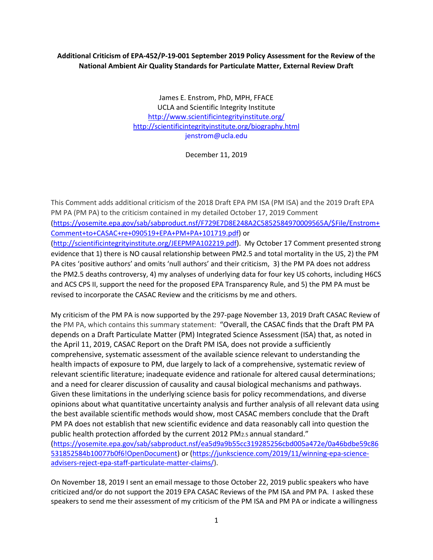## **Additional Criticism of EPA-452/P-19-001 September 2019 Policy Assessment for the Review of the National Ambient Air Quality Standards for Particulate Matter, External Review Draft**

James E. Enstrom, PhD, MPH, FFACE UCLA and Scientific Integrity Institute <http://www.scientificintegrityinstitute.org/> <http://scientificintegrityinstitute.org/biography.html> jenstrom@ucla.edu

December 11, 2019

This Comment adds additional criticism of the 2018 Draft EPA PM ISA (PM ISA) and the 2019 Draft EPA PM PA (PM PA) to the criticism contained in my detailed October 17, 2019 Comment [\(https://yosemite.epa.gov/sab/sabproduct.nsf/F729E7D8E248A2C5852584970009565A/\\$File/Enstrom+](https://yosemite.epa.gov/sab/sabproduct.nsf/F729E7D8E248A2C5852584970009565A/$File/Enstrom+Comment+to+CASAC+re+090519+EPA+PM+PA+101719.pdf) [Comment+to+CASAC+re+090519+EPA+PM+PA+101719.pdf\)](https://yosemite.epa.gov/sab/sabproduct.nsf/F729E7D8E248A2C5852584970009565A/$File/Enstrom+Comment+to+CASAC+re+090519+EPA+PM+PA+101719.pdf) or [\(http://scientificintegrityinstitute.org/JEEPMPA102219.pdf\)](http://scientificintegrityinstitute.org/JEEPMPA102219.pdf). My October 17 Comment presented strong

evidence that 1) there is NO causal relationship between PM2.5 and total mortality in the US, 2) the PM PA cites 'positive authors' and omits 'null authors' and their criticism, 3) the PM PA does not address the PM2.5 deaths controversy, 4) my analyses of underlying data for four key US cohorts, including H6CS and ACS CPS II, support the need for the proposed EPA Transparency Rule, and 5) the PM PA must be revised to incorporate the CASAC Review and the criticisms by me and others.

My criticism of the PM PA is now supported by the 297-page November 13, 2019 Draft CASAC Review of the PM PA, which contains this summary statement: "Overall, the CASAC finds that the Draft PM PA depends on a Draft Particulate Matter (PM) Integrated Science Assessment (ISA) that, as noted in the April 11, 2019, CASAC Report on the Draft PM ISA, does not provide a sufficiently comprehensive, systematic assessment of the available science relevant to understanding the health impacts of exposure to PM, due largely to lack of a comprehensive, systematic review of relevant scientific literature; inadequate evidence and rationale for altered causal determinations; and a need for clearer discussion of causality and causal biological mechanisms and pathways. Given these limitations in the underlying science basis for policy recommendations, and diverse opinions about what quantitative uncertainty analysis and further analysis of all relevant data using the best available scientific methods would show, most CASAC members conclude that the Draft PM PA does not establish that new scientific evidence and data reasonably call into question the public health protection afforded by the current 2012 PM2.5 annual standard." ([https://yosemite.epa.gov/sab/sabproduct.nsf/ea5d9a9b55cc319285256cbd005a472e/0a46bdbe59c86](https://yosemite.epa.gov/sab/sabproduct.nsf/ea5d9a9b55cc319285256cbd005a472e/0a46bdbe59c86531852584b10077b0f6!OpenDocument) [531852584b10077b0f6!OpenDocument\)](https://yosemite.epa.gov/sab/sabproduct.nsf/ea5d9a9b55cc319285256cbd005a472e/0a46bdbe59c86531852584b10077b0f6!OpenDocument) or [\(https://junkscience.com/2019/11/winning-epa-science-](https://junkscience.com/2019/11/winning-epa-science-advisers-reject-epa-staff-particulate-matter-claims/)

[advisers-reject-epa-staff-particulate-matter-claims/\)](https://junkscience.com/2019/11/winning-epa-science-advisers-reject-epa-staff-particulate-matter-claims/).

On November 18, 2019 I sent an email message to those October 22, 2019 public speakers who have criticized and/or do not support the 2019 EPA CASAC Reviews of the PM ISA and PM PA. I asked these speakers to send me their assessment of my criticism of the PM ISA and PM PA or indicate a willingness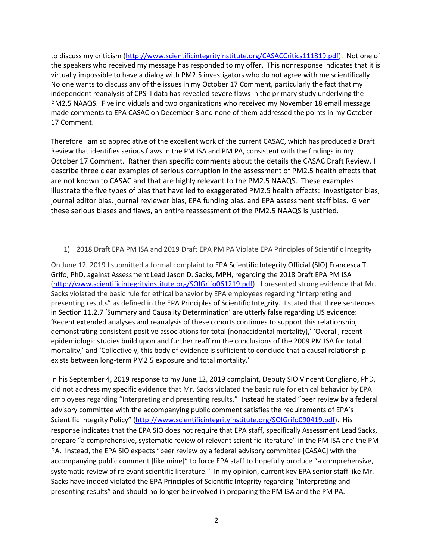to discuss my criticism [\(http://www.scientificintegrityinstitute.org/CASACCritics111819.pdf\)](http://www.scientificintegrityinstitute.org/CASACCritics111819.pdf). Not one of the speakers who received my message has responded to my offer. This nonresponse indicates that it is virtually impossible to have a dialog with PM2.5 investigators who do not agree with me scientifically. No one wants to discuss any of the issues in my October 17 Comment, particularly the fact that my independent reanalysis of CPS II data has revealed severe flaws in the primary study underlying the PM2.5 NAAQS. Five individuals and two organizations who received my November 18 email message made comments to EPA CASAC on December 3 and none of them addressed the points in my October 17 Comment.

Therefore I am so appreciative of the excellent work of the current CASAC, which has produced a Draft Review that identifies serious flaws in the PM ISA and PM PA, consistent with the findings in my October 17 Comment. Rather than specific comments about the details the CASAC Draft Review, I describe three clear examples of serious corruption in the assessment of PM2.5 health effects that are not known to CASAC and that are highly relevant to the PM2.5 NAAQS. These examples illustrate the five types of bias that have led to exaggerated PM2.5 health effects: investigator bias, journal editor bias, journal reviewer bias, EPA funding bias, and EPA assessment staff bias. Given these serious biases and flaws, an entire reassessment of the PM2.5 NAAQS is justified.

1) 2018 Draft EPA PM ISA and 2019 Draft EPA PM PA Violate EPA Principles of Scientific Integrity

On June 12, 2019 I submitted a formal complaint to EPA Scientific Integrity Official (SIO) Francesca T. Grifo, PhD, against Assessment Lead Jason D. Sacks, MPH, regarding the 2018 Draft EPA PM ISA [\(http://www.scientificintegrityinstitute.org/SOIGrifo061219.pdf\)](http://www.scientificintegrityinstitute.org/SOIGrifo061219.pdf). I presented strong evidence that Mr. Sacks violated the basic rule for ethical behavior by EPA employees regarding "Interpreting and presenting results" as defined in the EPA Principles of Scientific Integrity. I stated that three sentences in Section 11.2.7 'Summary and Causality Determination' are utterly false regarding US evidence: 'Recent extended analyses and reanalysis of these cohorts continues to support this relationship, demonstrating consistent positive associations for total (nonaccidental mortality),' 'Overall, recent epidemiologic studies build upon and further reaffirm the conclusions of the 2009 PM ISA for total mortality,' and 'Collectively, this body of evidence is sufficient to conclude that a causal relationship exists between long-term PM2.5 exposure and total mortality.'

In his September 4, 2019 response to my June 12, 2019 complaint, Deputy SIO Vincent Congliano, PhD, did not address my specific evidence that Mr. Sacks violated the basic rule for ethical behavior by EPA employees regarding "Interpreting and presenting results." Instead he stated "peer review by a federal advisory committee with the accompanying public comment satisfies the requirements of EPA's Scientific Integrity Policy" [\(http://www.scientificintegrityinstitute.org/SOIGrifo090419.pdf\)](http://www.scientificintegrityinstitute.org/SOIGrifo090419.pdf). His response indicates that the EPA SIO does not require that EPA staff, specifically Assessment Lead Sacks, prepare "a comprehensive, systematic review of relevant scientific literature" in the PM ISA and the PM PA. Instead, the EPA SIO expects "peer review by a federal advisory committee [CASAC] with the accompanying public comment [like mine]" to force EPA staff to hopefully produce "a comprehensive, systematic review of relevant scientific literature." In my opinion, current key EPA senior staff like Mr. Sacks have indeed violated the EPA Principles of Scientific Integrity regarding "Interpreting and presenting results" and should no longer be involved in preparing the PM ISA and the PM PA.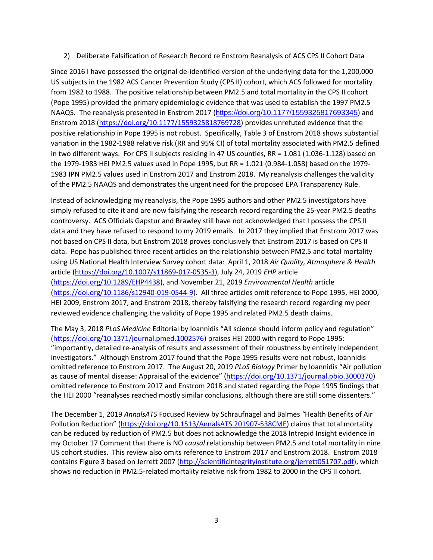2) Deliberate Falsification of Research Record re Enstrom Reanalysis of ACS CPS II Cohort Data

Since 2016 I have possessed the original de-identified version of the underlying data for the 1,200,000 US subjects in the 1982 ACS Cancer Prevention Study (CPS II) cohort, which ACS followed for mortality from 1982 to 1988. The positive relationship between PM2.5 and total mortality in the CPS II cohort (Pope 1995) provided the primary epidemiologic evidence that was used to establish the 1997 PM2.5 NAAQS. The reanalysis presented in Enstrom 2017 (<https://doi.org/10.1177/1559325817693345>) and Enstrom 2018 [\(https://doi.org/10.1177/1559325818769728\)](https://doi.org/10.1177/1559325818769728) provides unrefuted evidence that the positive relationship in Pope 1995 is not robust. Specifically, Table 3 of Enstrom 2018 shows substantial variation in the 1982-1988 relative risk (RR and 95% CI) of total mortality associated with PM2.5 defined in two different ways. For CPS II subjects residing in 47 US counties, RR = 1.081 (1.036-1.128) based on the 1979-1983 HEI PM2.5 values used in Pope 1995, but RR = 1.021 (0.984-1.058) based on the 1979- 1983 IPN PM2.5 values used in Enstrom 2017 and Enstrom 2018. My reanalysis challenges the validity of the PM2.5 NAAQS and demonstrates the urgent need for the proposed EPA Transparency Rule.

Instead of acknowledging my reanalysis, the Pope 1995 authors and other PM2.5 investigators have simply refused to cite it and are now falsifying the research record regarding the 25-year PM2.5 deaths controversy. ACS Officials Gapstur and Brawley still have not acknowledged that I possess the CPS II data and they have refused to respond to my 2019 emails. In 2017 they implied that Enstrom 2017 was not based on CPS II data, but Enstrom 2018 proves conclusively that Enstrom 2017 is based on CPS II data. Pope has published three recent articles on the relationship between PM2.5 and total mortality using US National Health Interview Survey cohort data: April 1, 2018 *[Air Quality, Atmosphere & Health](https://link.springer.com/journal/11869)* article [\(https://doi.org/10.1007/s11869-017-0535-3\)](https://doi.org/10.1007/s11869-017-0535-3), July 24, 2019 *EHP* article [\(https://doi.org/10.1289/EHP4438\)](https://doi.org/10.1289/EHP4438), and November 21, 2019 *Environmental Health* article [\(https://doi.org/10.1186/s12940-019-0544-9\)](https://doi.org/10.1186/s12940-019-0544-9). All three articles omit reference to Pope 1995, HEI 2000, HEI 2009, Enstrom 2017, and Enstrom 2018, thereby falsifying the research record regarding my peer reviewed evidence challenging the validity of Pope 1995 and related PM2.5 death claims.

The May 3, 2018 *PLoS Medicine* Editorial by Ioannidis "All science should inform policy and regulation" [\(https://doi.org/10.1371/journal.pmed.1002576\)](https://doi.org/10.1371/journal.pmed.1002576) praises HEI 2000 with regard to Pope 1995: "importantly, detailed re-analysis of results and assessment of their robustness by entirely independent investigators." Although Enstrom 2017 found that the Pope 1995 results were not robust, Ioannidis omitted reference to Enstrom 2017. The August 20, 2019 *PLoS Biology* Primer by Ioannidis "Air pollution as cause of mental disease: Appraisal of the evidence" [\(https://doi.org/10.1371/journal.pbio.3000370\)](https://doi.org/10.1371/journal.pbio.3000370) omitted reference to Enstrom 2017 and Enstrom 2018 and stated regarding the Pope 1995 findings that the HEI 2000 "reanalyses reached mostly similar conclusions, although there are still some dissenters."

The December 1, 2019 *AnnalsATS* Focused Review by Schraufnagel and Balmes *"*Health Benefits of Air Pollution Reduction" [\(https://doi.org/10.1513/AnnalsATS.201907-538CME\)](https://doi.org/10.1513/AnnalsATS.201907-538CME) claims that total mortality can be reduced by reduction of PM2.5 but does not acknowledge the 2018 Intrepid Insight evidence in my October 17 Comment that there is NO *causal* relationship between PM2.5 and total mortality in nine US cohort studies. This review also omits reference to Enstrom 2017 and Enstrom 2018. Enstrom 2018 contains Figure 3 based on Jerrett 2007 [\(http://scientificintegrityinstitute.org/jerrett051707.pdf\)](http://scientificintegrityinstitute.org/jerrett051707.pdf), which shows no reduction in PM2.5-related mortality relative risk from 1982 to 2000 in the CPS II cohort.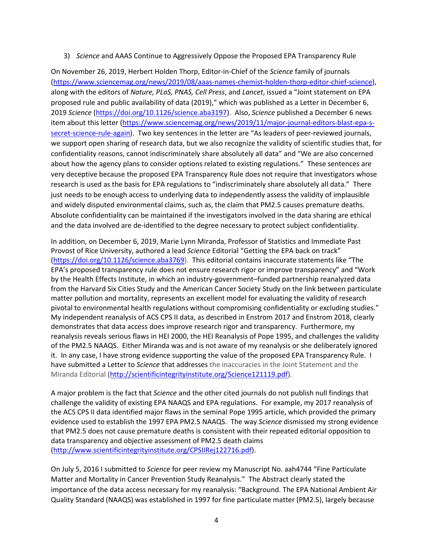## 3) *Science* and AAAS Continue to Aggressively Oppose the Proposed EPA Transparency Rule

On November 26, 2019, Herbert Holden Thorp, Editor-in-Chief of the *Science* family of journals [\(https://www.sciencemag.org/news/2019/08/aaas-names-chemist-holden-thorp-editor-chief-science\)](https://www.sciencemag.org/news/2019/08/aaas-names-chemist-holden-thorp-editor-chief-science), along with the editors of *Nature, PLoS, PNAS, Cell Press*, and *Lancet*, issued a "Joint statement on EPA proposed rule and public availability of data (2019)," which was published as a Letter in December 6, 2019 *Science* [\(https://doi.org/10.1126/science.aba3197\)](https://doi.org/10.1126/science.aba3197). Also, *Science* published a December 6 news item about this letter [\(https://www.sciencemag.org/news/2019/11/major-journal-editors-blast-epa-s](https://www.sciencemag.org/news/2019/11/major-journal-editors-blast-epa-s-secret-science-rule-again)[secret-science-rule-again\)](https://www.sciencemag.org/news/2019/11/major-journal-editors-blast-epa-s-secret-science-rule-again). Two key sentences in the letter are "As leaders of peer-reviewed journals, we support open sharing of research data, but we also recognize the validity of scientific studies that, for confidentiality reasons, cannot indiscriminately share absolutely all data" and "We are also concerned about how the agency plans to consider options related to existing regulations." These sentences are very deceptive because the proposed EPA Transparency Rule does not require that investigators whose research is used as the basis for EPA regulations to "indiscriminately share absolutely all data." There just needs to be enough access to underlying data to independently assess the validity of implausible and widely disputed environmental claims, such as, the claim that PM2.5 causes premature deaths. Absolute confidentiality can be maintained if the investigators involved in the data sharing are ethical and the data involved are de-identified to the degree necessary to protect subject confidentiality.

In addition, on December 6, 2019, Marie Lynn Miranda, Professor of Statistics and Immediate Past Provost of Rice University, authored a lead *Science* Editorial "Getting the EPA back on track" [\(https://doi.org/10.1126/science.aba3769\)](https://doi.org/10.1126/science.aba3769). This editorial contains inaccurate statements like "The EPA's proposed transparency rule does not ensure research rigor or improve transparency" and "Work by the Health Effects Institute, in which an industry-government–funded partnership reanalyzed data from the Harvard Six Cities Study and the American Cancer Society Study on the link between particulate matter pollution and mortality, represents an excellent model for evaluating the validity of research pivotal to environmental health regulations without compromising confidentiality or excluding studies." My independent reanalysis of ACS CPS II data, as described in Enstrom 2017 and Enstrom 2018, clearly demonstrates that data access does improve research rigor and transparency. Furthermore, my reanalysis reveals serious flaws in HEI 2000, the HEI Reanalysis of Pope 1995, and challenges the validity of the PM2.5 NAAQS. Either Miranda was and is not aware of my reanalysis or she deliberately ignored it. In any case, I have strong evidence supporting the value of the proposed EPA Transparency Rule. I have submitted a Letter to *Science* that addresses the inaccuracies in the Joint Statement and the Miranda Editorial [\(http://scientificintegrityinstitute.org/Science121119.pdf\)](http://scientificintegrityinstitute.org/Science121119.pdf).

A major problem is the fact that *Science* and the other cited journals do not publish null findings that challenge the validity of existing EPA NAAQS and EPA regulations. For example, my 2017 reanalysis of the ACS CPS II data identified major flaws in the seminal Pope 1995 article, which provided the primary evidence used to establish the 1997 EPA PM2.5 NAAQS. The way *Science* dismissed my strong evidence that PM2.5 does not cause premature deaths is consistent with their repeated editorial opposition to data transparency and objective assessment of PM2.5 death claims [\(http://www.scientificintegrityinstitute.org/CPSIIRej122716.pdf\)](http://www.scientificintegrityinstitute.org/CPSIIRej122716.pdf).

On July 5, 2016 I submitted to *Science* for peer review my Manuscript No. aah4744 "Fine Particulate Matter and Mortality in Cancer Prevention Study Reanalysis." The Abstract clearly stated the importance of the data access necessary for my reanalysis: "Background. The EPA National Ambient Air Quality Standard (NAAQS) was established in 1997 for fine particulate matter (PM2.5), largely because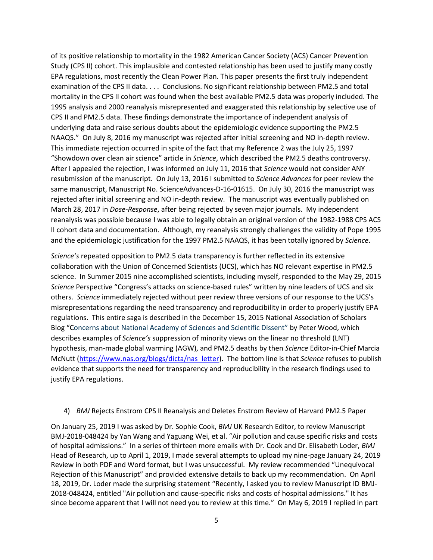of its positive relationship to mortality in the 1982 American Cancer Society (ACS) Cancer Prevention Study (CPS II) cohort. This implausible and contested relationship has been used to justify many costly EPA regulations, most recently the Clean Power Plan. This paper presents the first truly independent examination of the CPS II data. . . . Conclusions. No significant relationship between PM2.5 and total mortality in the CPS II cohort was found when the best available PM2.5 data was properly included. The 1995 analysis and 2000 reanalysis misrepresented and exaggerated this relationship by selective use of CPS II and PM2.5 data. These findings demonstrate the importance of independent analysis of underlying data and raise serious doubts about the epidemiologic evidence supporting the PM2.5 NAAQS." On July 8, 2016 my manuscript was rejected after initial screening and NO in-depth review. This immediate rejection occurred in spite of the fact that my Reference 2 was the July 25, 1997 "Showdown over clean air science" article in *Science*, which described the PM2.5 deaths controversy. After I appealed the rejection, I was informed on July 11, 2016 that *Science* would not consider ANY resubmission of the manuscript. On July 13, 2016 I submitted to *Science Advances* for peer review the same manuscript, Manuscript No. ScienceAdvances-D-16-01615. On July 30, 2016 the manuscript was rejected after initial screening and NO in-depth review. The manuscript was eventually published on March 28, 2017 in *Dose-Response*, after being rejected by seven major journals. My independent reanalysis was possible because I was able to legally obtain an original version of the 1982-1988 CPS ACS II cohort data and documentation. Although, my reanalysis strongly challenges the validity of Pope 1995 and the epidemiologic justification for the 1997 PM2.5 NAAQS, it has been totally ignored by *Science*.

*Science's* repeated opposition to PM2.5 data transparency is further reflected in its extensive collaboration with the Union of Concerned Scientists (UCS), which has NO relevant expertise in PM2.5 science. In Summer 2015 nine accomplished scientists, including myself, responded to the May 29, 2015 *Science* Perspective "Congress's attacks on science-based rules" written by nine leaders of UCS and six others. *Science* immediately rejected without peer review three versions of our response to the UCS's misrepresentations regarding the need transparency and reproducibility in order to properly justify EPA regulations. This entire saga is described in the December 15, 2015 National Association of Scholars Blog "Concerns about National Academy of Sciences and Scientific Dissent" by Peter Wood, which describes examples of *Science's* suppression of minority views on the linear no threshold (LNT) hypothesis, man-made global warming (AGW), and PM2.5 deaths by then *Science* Editor-in-Chief Marcia McNutt [\(https://www.nas.org/blogs/dicta/nas\\_letter\)](https://www.nas.org/blogs/dicta/nas_letter). The bottom line is that *Science* refuses to publish evidence that supports the need for transparency and reproducibility in the research findings used to justify EPA regulations.

## 4) *BMJ* Rejects Enstrom CPS II Reanalysis and Deletes Enstrom Review of Harvard PM2.5 Paper

On January 25, 2019 I was asked by Dr. Sophie Cook, *BMJ* UK Research Editor, to review Manuscript BMJ-2018-048424 by Yan Wang and Yaguang Wei, et al. "Air pollution and cause specific risks and costs of hospital admissions." In a series of thirteen more emails with Dr. Cook and Dr. Elisabeth Loder, *BMJ* Head of Research, up to April 1, 2019, I made several attempts to upload my nine-page January 24, 2019 Review in both PDF and Word format, but I was unsuccessful. My review recommended "Unequivocal Rejection of this Manuscript" and provided extensive details to back up my recommendation. On April 18, 2019, Dr. Loder made the surprising statement "Recently, I asked you to review Manuscript ID BMJ-2018-048424, entitled "Air pollution and cause-specific risks and costs of hospital admissions." It has since become apparent that I will not need you to review at this time." On May 6, 2019 I replied in part